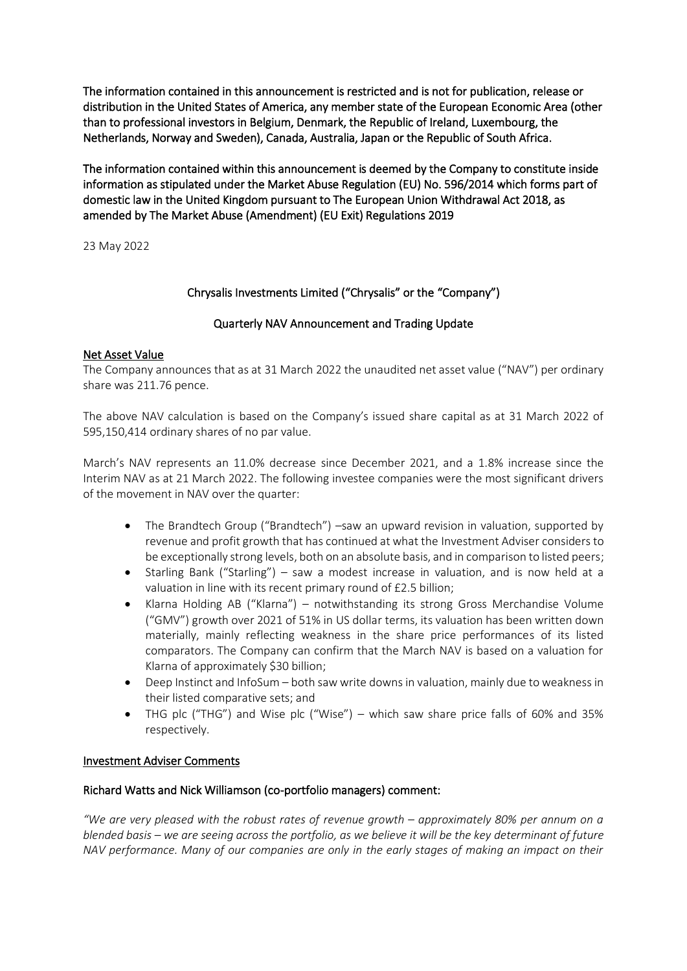The information contained in this announcement is restricted and is not for publication, release or distribution in the United States of America, any member state of the European Economic Area (other than to professional investors in Belgium, Denmark, the Republic of Ireland, Luxembourg, the Netherlands, Norway and Sweden), Canada, Australia, Japan or the Republic of South Africa.

The information contained within this announcement is deemed by the Company to constitute inside information as stipulated under the Market Abuse Regulation (EU) No. 596/2014 which forms part of domestic law in the United Kingdom pursuant to The European Union Withdrawal Act 2018, as amended by The Market Abuse (Amendment) (EU Exit) Regulations 2019

23 May 2022

# Chrysalis Investments Limited ("Chrysalis" or the "Company")

## Quarterly NAV Announcement and Trading Update

### Net Asset Value

The Company announces that as at 31 March 2022 the unaudited net asset value ("NAV") per ordinary share was 211.76 pence.

The above NAV calculation is based on the Company's issued share capital as at 31 March 2022 of 595,150,414 ordinary shares of no par value.

March's NAV represents an 11.0% decrease since December 2021, and a 1.8% increase since the Interim NAV as at 21 March 2022. The following investee companies were the most significant drivers of the movement in NAV over the quarter:

- The Brandtech Group ("Brandtech") –saw an upward revision in valuation, supported by revenue and profit growth that has continued at what the Investment Adviser considers to be exceptionally strong levels, both on an absolute basis, and in comparison to listed peers;
- Starling Bank ("Starling") saw a modest increase in valuation, and is now held at a valuation in line with its recent primary round of £2.5 billion;
- Klarna Holding AB ("Klarna") notwithstanding its strong Gross Merchandise Volume ("GMV") growth over 2021 of 51% in US dollar terms, its valuation has been written down materially, mainly reflecting weakness in the share price performances of its listed comparators. The Company can confirm that the March NAV is based on a valuation for Klarna of approximately \$30 billion;
- Deep Instinct and InfoSum both saw write downs in valuation, mainly due to weakness in their listed comparative sets; and
- THG plc ("THG") and Wise plc ("Wise") which saw share price falls of 60% and 35% respectively.

### Investment Adviser Comments

## Richard Watts and Nick Williamson (co-portfolio managers) comment:

*"We are very pleased with the robust rates of revenue growth – approximately 80% per annum on a blended basis – we are seeing across the portfolio, as we believe it will be the key determinant of future NAV performance. Many of our companies are only in the early stages of making an impact on their*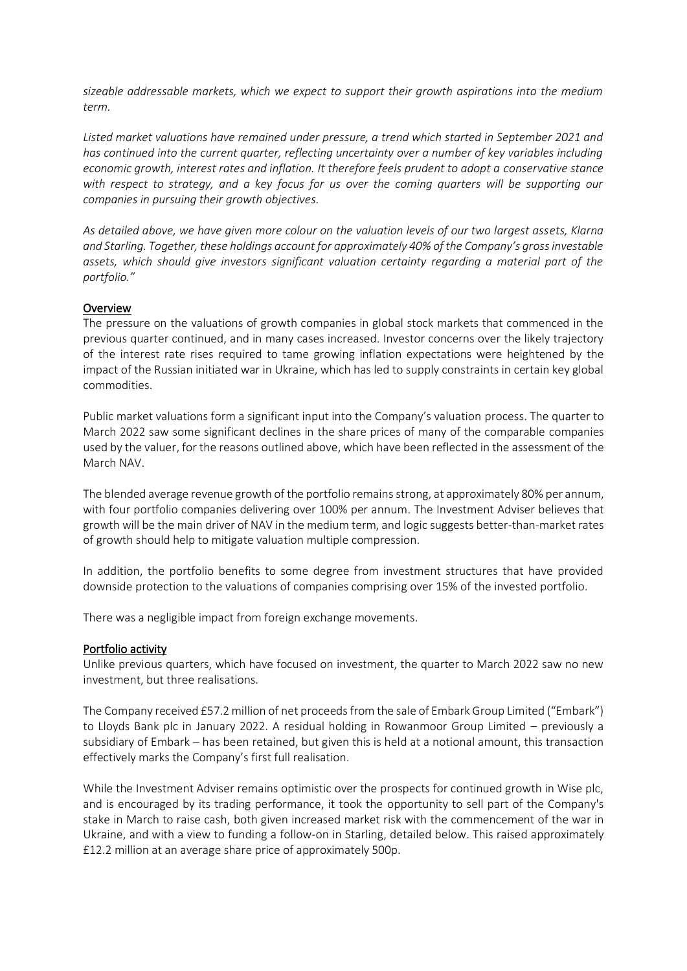*sizeable addressable markets, which we expect to support their growth aspirations into the medium term.*

*Listed market valuations have remained under pressure, a trend which started in September 2021 and has continued into the current quarter, reflecting uncertainty over a number of key variables including economic growth, interest rates and inflation. It therefore feels prudent to adopt a conservative stance with respect to strategy, and a key focus for us over the coming quarters will be supporting our companies in pursuing their growth objectives.*

*As detailed above, we have given more colour on the valuation levels of our two largest assets, Klarna and Starling. Together, these holdings account for approximately 40% of the Company's gross investable assets, which should give investors significant valuation certainty regarding a material part of the portfolio."*

#### **Overview**

The pressure on the valuations of growth companies in global stock markets that commenced in the previous quarter continued, and in many cases increased. Investor concerns over the likely trajectory of the interest rate rises required to tame growing inflation expectations were heightened by the impact of the Russian initiated war in Ukraine, which has led to supply constraints in certain key global commodities.

Public market valuations form a significant input into the Company's valuation process. The quarter to March 2022 saw some significant declines in the share prices of many of the comparable companies used by the valuer, for the reasons outlined above, which have been reflected in the assessment of the March NAV.

The blended average revenue growth of the portfolio remains strong, at approximately 80% per annum, with four portfolio companies delivering over 100% per annum. The Investment Adviser believes that growth will be the main driver of NAV in the medium term, and logic suggests better-than-market rates of growth should help to mitigate valuation multiple compression.

In addition, the portfolio benefits to some degree from investment structures that have provided downside protection to the valuations of companies comprising over 15% of the invested portfolio.

There was a negligible impact from foreign exchange movements.

#### Portfolio activity

Unlike previous quarters, which have focused on investment, the quarter to March 2022 saw no new investment, but three realisations.

The Company received £57.2 million of net proceeds from the sale of Embark Group Limited ("Embark") to Lloyds Bank plc in January 2022. A residual holding in Rowanmoor Group Limited – previously a subsidiary of Embark – has been retained, but given this is held at a notional amount, this transaction effectively marks the Company's first full realisation.

While the Investment Adviser remains optimistic over the prospects for continued growth in Wise plc, and is encouraged by its trading performance, it took the opportunity to sell part of the Company's stake in March to raise cash, both given increased market risk with the commencement of the war in Ukraine, and with a view to funding a follow-on in Starling, detailed below. This raised approximately £12.2 million at an average share price of approximately 500p.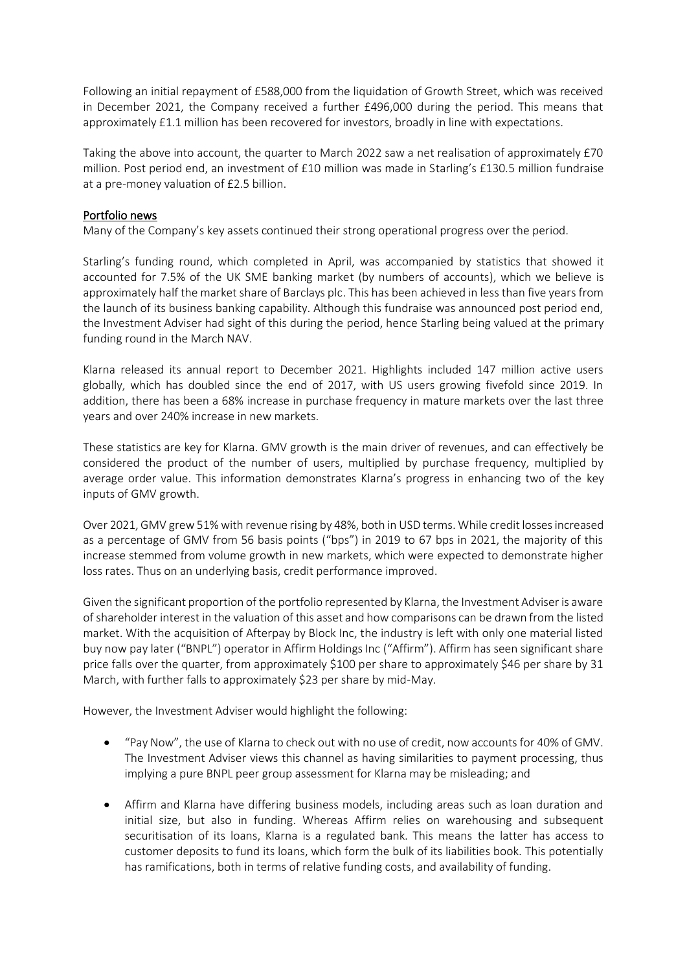Following an initial repayment of £588,000 from the liquidation of Growth Street, which was received in December 2021, the Company received a further £496,000 during the period. This means that approximately £1.1 million has been recovered for investors, broadly in line with expectations.

Taking the above into account, the quarter to March 2022 saw a net realisation of approximately £70 million. Post period end, an investment of £10 million was made in Starling's £130.5 million fundraise at a pre-money valuation of £2.5 billion.

## Portfolio news

Many of the Company's key assets continued their strong operational progress over the period.

Starling's funding round, which completed in April, was accompanied by statistics that showed it accounted for 7.5% of the UK SME banking market (by numbers of accounts), which we believe is approximately half the market share of Barclays plc. This has been achieved in less than five years from the launch of its business banking capability. Although this fundraise was announced post period end, the Investment Adviser had sight of this during the period, hence Starling being valued at the primary funding round in the March NAV.

Klarna released its annual report to December 2021. Highlights included 147 million active users globally, which has doubled since the end of 2017, with US users growing fivefold since 2019. In addition, there has been a 68% increase in purchase frequency in mature markets over the last three years and over 240% increase in new markets.

These statistics are key for Klarna. GMV growth is the main driver of revenues, and can effectively be considered the product of the number of users, multiplied by purchase frequency, multiplied by average order value. This information demonstrates Klarna's progress in enhancing two of the key inputs of GMV growth.

Over 2021, GMV grew 51% with revenue rising by 48%, both in USD terms. While credit losses increased as a percentage of GMV from 56 basis points ("bps") in 2019 to 67 bps in 2021, the majority of this increase stemmed from volume growth in new markets, which were expected to demonstrate higher loss rates. Thus on an underlying basis, credit performance improved.

Given the significant proportion of the portfolio represented by Klarna, the Investment Adviser is aware of shareholder interest in the valuation of this asset and how comparisons can be drawn from the listed market. With the acquisition of Afterpay by Block Inc, the industry is left with only one material listed buy now pay later ("BNPL") operator in Affirm Holdings Inc ("Affirm"). Affirm has seen significant share price falls over the quarter, from approximately \$100 per share to approximately \$46 per share by 31 March, with further falls to approximately \$23 per share by mid-May.

However, the Investment Adviser would highlight the following:

- "Pay Now", the use of Klarna to check out with no use of credit, now accounts for 40% of GMV. The Investment Adviser views this channel as having similarities to payment processing, thus implying a pure BNPL peer group assessment for Klarna may be misleading; and
- Affirm and Klarna have differing business models, including areas such as loan duration and initial size, but also in funding. Whereas Affirm relies on warehousing and subsequent securitisation of its loans, Klarna is a regulated bank. This means the latter has access to customer deposits to fund its loans, which form the bulk of its liabilities book. This potentially has ramifications, both in terms of relative funding costs, and availability of funding.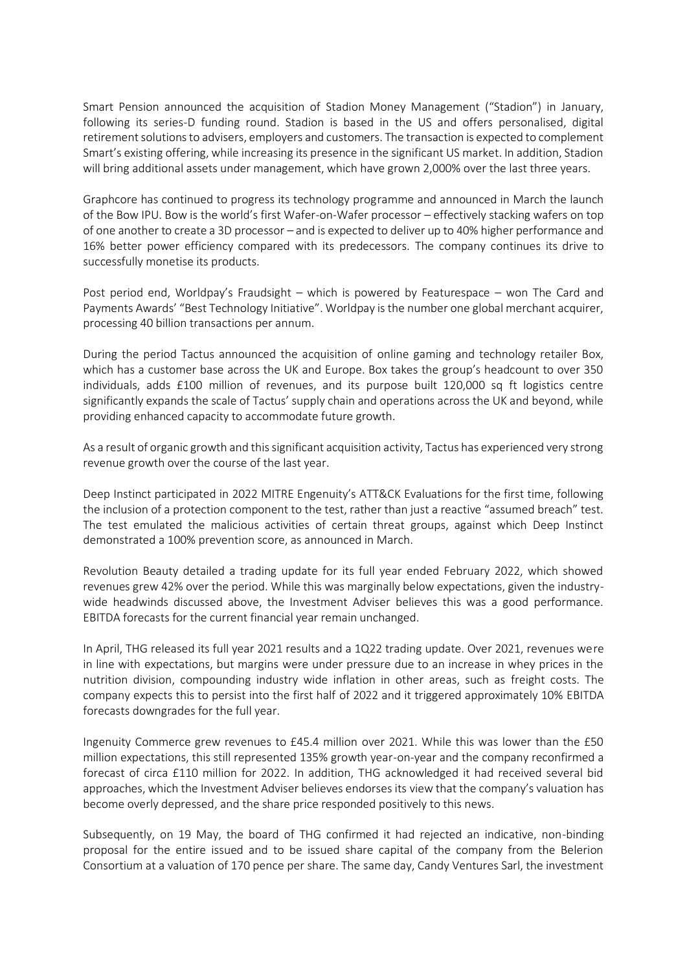Smart Pension announced the acquisition of Stadion Money Management ("Stadion") in January, following its series-D funding round. Stadion is based in the US and offers personalised, digital retirement solutions to advisers, employers and customers. The transaction is expected to complement Smart's existing offering, while increasing its presence in the significant US market. In addition, Stadion will bring additional assets under management, which have grown 2,000% over the last three years.

Graphcore has continued to progress its technology programme and announced in March the launch of the Bow IPU. Bow is the world's first Wafer-on-Wafer processor – effectively stacking wafers on top of one another to create a 3D processor – and is expected to deliver up to 40% higher performance and 16% better power efficiency compared with its predecessors. The company continues its drive to successfully monetise its products.

Post period end, Worldpay's Fraudsight – which is powered by Featurespace – won The Card and Payments Awards' "Best Technology Initiative". Worldpay is the number one global merchant acquirer, processing 40 billion transactions per annum.

During the period Tactus announced the acquisition of online gaming and technology retailer Box, which has a customer base across the UK and Europe. Box takes the group's headcount to over 350 individuals, adds £100 million of revenues, and its purpose built 120,000 sq ft logistics centre significantly expands the scale of Tactus' supply chain and operations across the UK and beyond, while providing enhanced capacity to accommodate future growth.

As a result of organic growth and this significant acquisition activity, Tactus has experienced very strong revenue growth over the course of the last year.

Deep Instinct participated in 2022 MITRE Engenuity's ATT&CK Evaluations for the first time, following the inclusion of a protection component to the test, rather than just a reactive "assumed breach" test. The test emulated the malicious activities of certain threat groups, against which Deep Instinct demonstrated a 100% prevention score, as announced in March.

Revolution Beauty detailed a trading update for its full year ended February 2022, which showed revenues grew 42% over the period. While this was marginally below expectations, given the industrywide headwinds discussed above, the Investment Adviser believes this was a good performance. EBITDA forecasts for the current financial year remain unchanged.

In April, THG released its full year 2021 results and a 1Q22 trading update. Over 2021, revenues were in line with expectations, but margins were under pressure due to an increase in whey prices in the nutrition division, compounding industry wide inflation in other areas, such as freight costs. The company expects this to persist into the first half of 2022 and it triggered approximately 10% EBITDA forecasts downgrades for the full year.

Ingenuity Commerce grew revenues to £45.4 million over 2021. While this was lower than the £50 million expectations, this still represented 135% growth year-on-year and the company reconfirmed a forecast of circa £110 million for 2022. In addition, THG acknowledged it had received several bid approaches, which the Investment Adviser believes endorses its view that the company's valuation has become overly depressed, and the share price responded positively to this news.

Subsequently, on 19 May, the board of THG confirmed it had rejected an indicative, non-binding proposal for the entire issued and to be issued share capital of the company from the Belerion Consortium at a valuation of 170 pence per share. The same day, Candy Ventures Sarl, the investment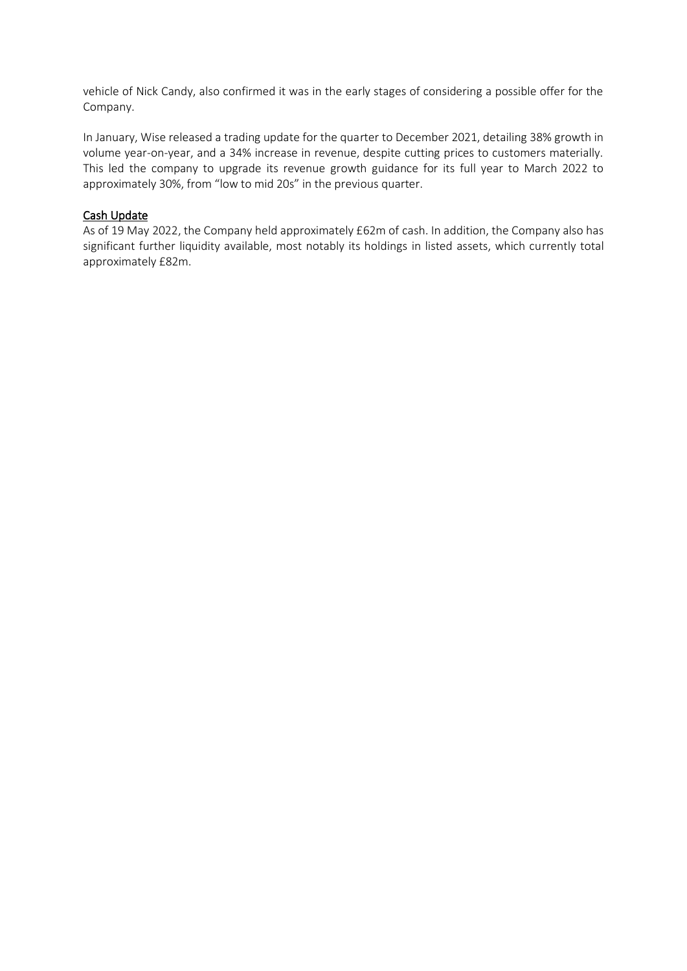vehicle of Nick Candy, also confirmed it was in the early stages of considering a possible offer for the Company.

In January, Wise released a trading update for the quarter to December 2021, detailing 38% growth in volume year-on-year, and a 34% increase in revenue, despite cutting prices to customers materially. This led the company to upgrade its revenue growth guidance for its full year to March 2022 to approximately 30%, from "low to mid 20s" in the previous quarter.

### Cash Update

As of 19 May 2022, the Company held approximately £62m of cash. In addition, the Company also has significant further liquidity available, most notably its holdings in listed assets, which currently total approximately £82m.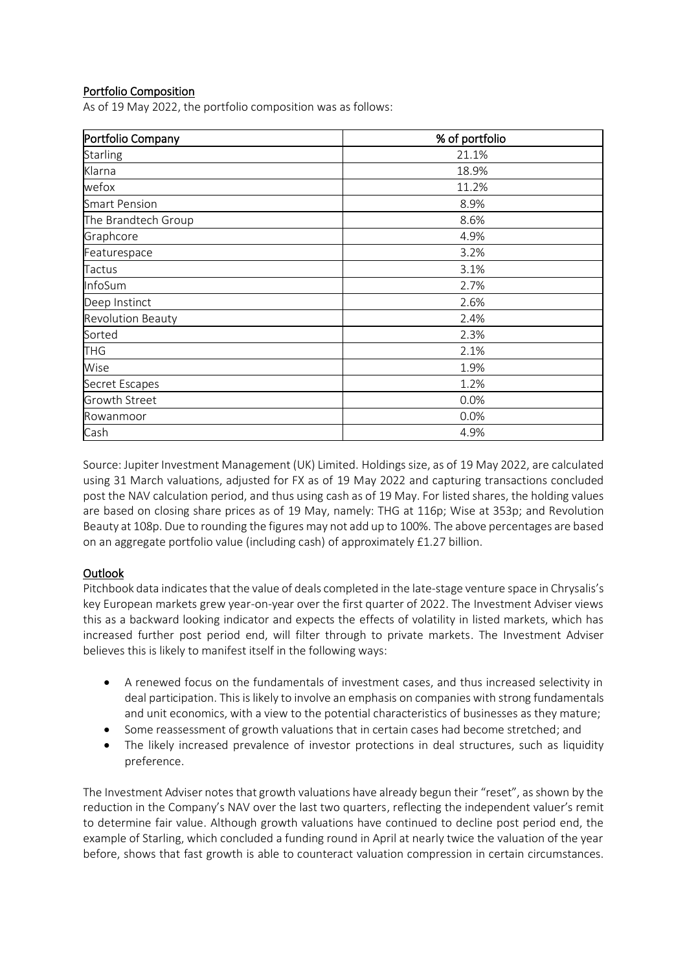# Portfolio Composition

As of 19 May 2022, the portfolio composition was as follows:

| Portfolio Company        | % of portfolio |
|--------------------------|----------------|
| <b>Starling</b>          | 21.1%          |
| Klarna                   | 18.9%          |
| wefox                    | 11.2%          |
| <b>Smart Pension</b>     | 8.9%           |
| The Brandtech Group      | 8.6%           |
| Graphcore                | 4.9%           |
| Featurespace             | 3.2%           |
| <b>Tactus</b>            | 3.1%           |
| InfoSum                  | 2.7%           |
| Deep Instinct            | 2.6%           |
| <b>Revolution Beauty</b> | 2.4%           |
| Sorted                   | 2.3%           |
| <b>THG</b>               | 2.1%           |
| Wise                     | 1.9%           |
| Secret Escapes           | 1.2%           |
| <b>Growth Street</b>     | 0.0%           |
| Rowanmoor                | 0.0%           |
| Cash                     | 4.9%           |

Source: Jupiter Investment Management (UK) Limited. Holdings size, as of 19 May 2022, are calculated using 31 March valuations, adjusted for FX as of 19 May 2022 and capturing transactions concluded post the NAV calculation period, and thus using cash as of 19 May. For listed shares, the holding values are based on closing share prices as of 19 May, namely: THG at 116p; Wise at 353p; and Revolution Beauty at 108p. Due to rounding the figures may not add up to 100%. The above percentages are based on an aggregate portfolio value (including cash) of approximately £1.27 billion.

## Outlook

Pitchbook data indicates that the value of deals completed in the late-stage venture space in Chrysalis's key European markets grew year-on-year over the first quarter of 2022. The Investment Adviser views this as a backward looking indicator and expects the effects of volatility in listed markets, which has increased further post period end, will filter through to private markets. The Investment Adviser believes this is likely to manifest itself in the following ways:

- A renewed focus on the fundamentals of investment cases, and thus increased selectivity in deal participation. This is likely to involve an emphasis on companies with strong fundamentals and unit economics, with a view to the potential characteristics of businesses as they mature;
- Some reassessment of growth valuations that in certain cases had become stretched; and
- The likely increased prevalence of investor protections in deal structures, such as liquidity preference.

The Investment Adviser notes that growth valuations have already begun their "reset", as shown by the reduction in the Company's NAV over the last two quarters, reflecting the independent valuer's remit to determine fair value. Although growth valuations have continued to decline post period end, the example of Starling, which concluded a funding round in April at nearly twice the valuation of the year before, shows that fast growth is able to counteract valuation compression in certain circumstances.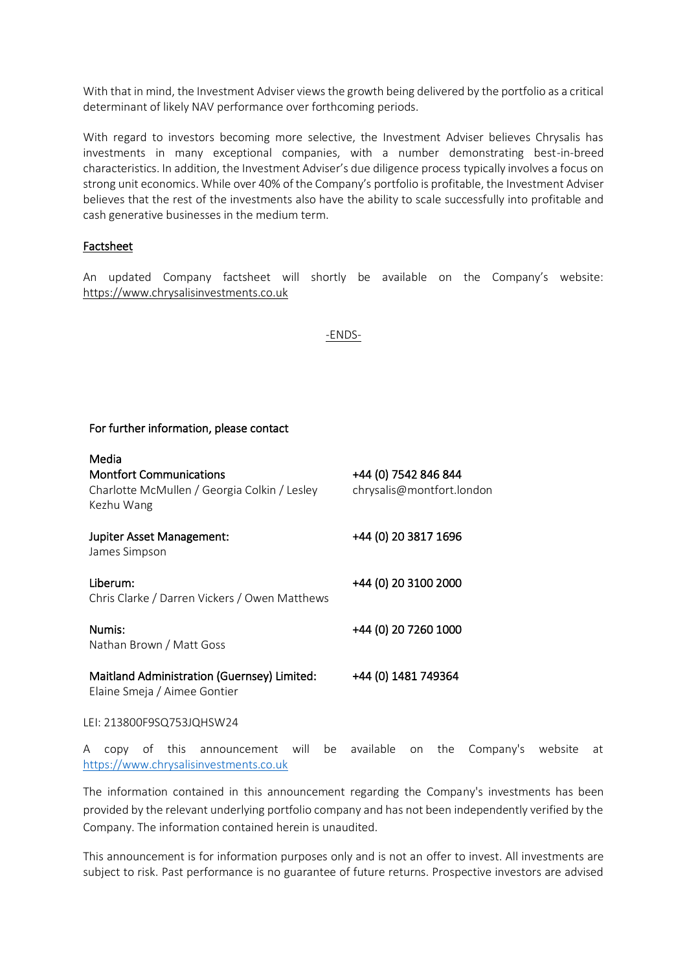With that in mind, the Investment Adviser views the growth being delivered by the portfolio as a critical determinant of likely NAV performance over forthcoming periods.

With regard to investors becoming more selective, the Investment Adviser believes Chrysalis has investments in many exceptional companies, with a number demonstrating best-in-breed characteristics. In addition, the Investment Adviser's due diligence process typically involves a focus on strong unit economics. While over 40% of the Company's portfolio is profitable, the Investment Adviser believes that the rest of the investments also have the ability to scale successfully into profitable and cash generative businesses in the medium term.

### Factsheet

An updated Company factsheet will shortly be available on the Company's website: [https://www.c](https://www./)hrysalisinvestments.co.uk

#### -ENDS-

### For further information, please contact

| Media                                                                                        |                                                   |
|----------------------------------------------------------------------------------------------|---------------------------------------------------|
| <b>Montfort Communications</b><br>Charlotte McMullen / Georgia Colkin / Lesley<br>Kezhu Wang | +44 (0) 7542 846 844<br>chrysalis@montfort.london |
| Jupiter Asset Management:<br>James Simpson                                                   | +44 (0) 20 3817 1696                              |
| Liberum:<br>Chris Clarke / Darren Vickers / Owen Matthews                                    | +44 (0) 20 3100 2000                              |
| Numis:<br>Nathan Brown / Matt Goss                                                           | +44 (0) 20 7260 1000                              |
| Maitland Administration (Guernsey) Limited:<br>Elaine Smeja / Aimee Gontier                  | +44 (0) 1481 749364                               |
|                                                                                              |                                                   |

LEI: 213800F9SQ753JQHSW24

A copy of this announcement will be available on the Company's website at [https://www.chrysalisinvestments.co.uk](https://www.chrysalisinvestments.co.uk/)

The information contained in this announcement regarding the Company's investments has been provided by the relevant underlying portfolio company and has not been independently verified by the Company. The information contained herein is unaudited.

This announcement is for information purposes only and is not an offer to invest. All investments are subject to risk. Past performance is no guarantee of future returns. Prospective investors are advised